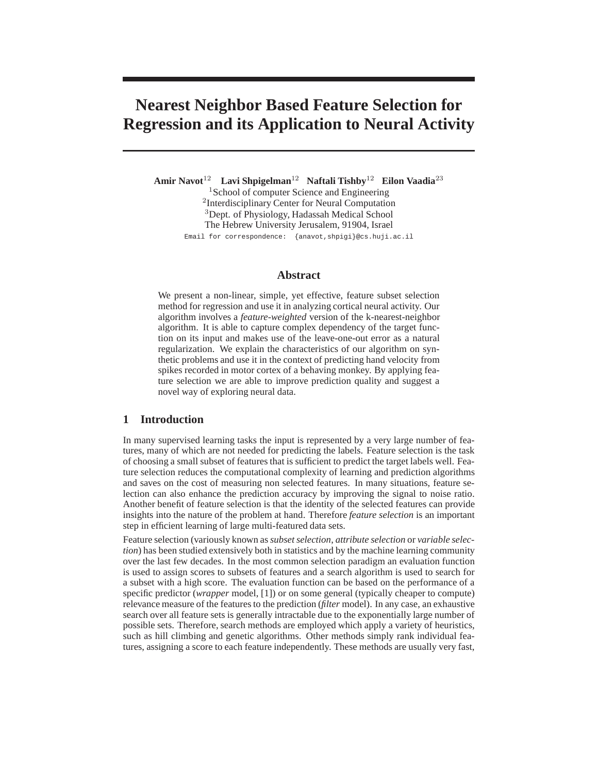# **Nearest Neighbor Based Feature Selection for Regression and its Application to Neural Activity**

**Amir Navot**<sup>12</sup> **Lavi Shpigelman**<sup>12</sup> **Naftali Tishby**<sup>12</sup> **Eilon Vaadia**<sup>23</sup> <sup>1</sup>School of computer Science and Engineering 2 Interdisciplinary Center for Neural Computation <sup>3</sup>Dept. of Physiology, Hadassah Medical School The Hebrew University Jerusalem, 91904, Israel Email for correspondence: {anavot,shpigi}@cs.huji.ac.il

# **Abstract**

We present a non-linear, simple, yet effective, feature subset selection method for regression and use it in analyzing cortical neural activity. Our algorithm involves a *feature-weighted* version of the k-nearest-neighbor algorithm. It is able to capture complex dependency of the target function on its input and makes use of the leave-one-out error as a natural regularization. We explain the characteristics of our algorithm on synthetic problems and use it in the context of predicting hand velocity from spikes recorded in motor cortex of a behaving monkey. By applying feature selection we are able to improve prediction quality and suggest a novel way of exploring neural data.

#### **1 Introduction**

In many supervised learning tasks the input is represented by a very large number of features, many of which are not needed for predicting the labels. Feature selection is the task of choosing a small subset of features that is sufficient to predict the target labels well. Feature selection reduces the computational complexity of learning and prediction algorithms and saves on the cost of measuring non selected features. In many situations, feature selection can also enhance the prediction accuracy by improving the signal to noise ratio. Another benefit of feature selection is that the identity of the selected features can provide insights into the nature of the problem at hand. Therefore *feature selection* is an important step in efficient learning of large multi-featured data sets.

Feature selection (variously known as *subset selection*, *attribute selection* or *variable selection*) has been studied extensively both in statistics and by the machine learning community over the last few decades. In the most common selection paradigm an evaluation function is used to assign scores to subsets of features and a search algorithm is used to search for a subset with a high score. The evaluation function can be based on the performance of a specific predictor (*wrapper* model, [1]) or on some general (typically cheaper to compute) relevance measure of the features to the prediction (*filter* model). In any case, an exhaustive search over all feature sets is generally intractable due to the exponentially large number of possible sets. Therefore, search methods are employed which apply a variety of heuristics, such as hill climbing and genetic algorithms. Other methods simply rank individual features, assigning a score to each feature independently. These methods are usually very fast,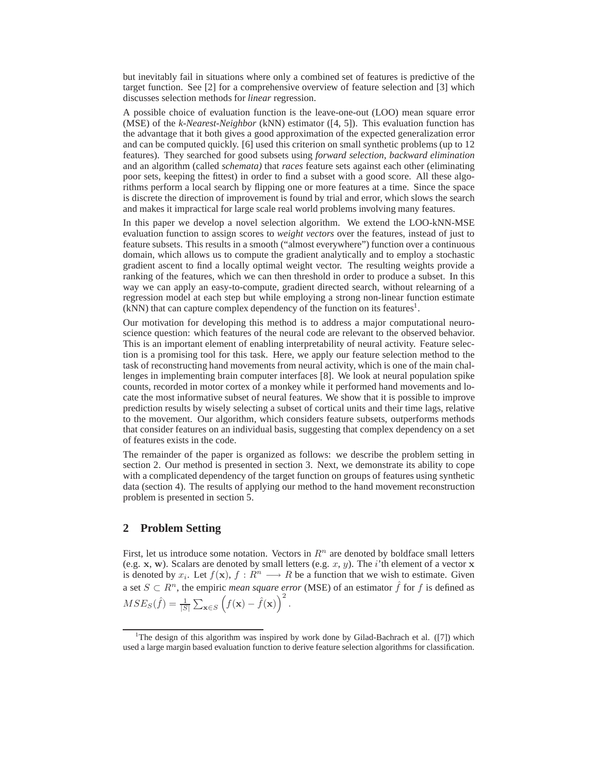but inevitably fail in situations where only a combined set of features is predictive of the target function. See [2] for a comprehensive overview of feature selection and [3] which discusses selection methods for *linear* regression.

A possible choice of evaluation function is the leave-one-out (LOO) mean square error (MSE) of the *k-Nearest-Neighbor* (kNN) estimator ([4, 5]). This evaluation function has the advantage that it both gives a good approximation of the expected generalization error and can be computed quickly. [6] used this criterion on small synthetic problems (up to 12 features). They searched for good subsets using *forward selection*, *backward elimination* and an algorithm (called *schemata)* that *races* feature sets against each other (eliminating poor sets, keeping the fittest) in order to find a subset with a good score. All these algorithms perform a local search by flipping one or more features at a time. Since the space is discrete the direction of improvement is found by trial and error, which slows the search and makes it impractical for large scale real world problems involving many features.

In this paper we develop a novel selection algorithm. We extend the LOO-kNN-MSE evaluation function to assign scores to *weight vectors* over the features, instead of just to feature subsets. This results in a smooth ("almost everywhere") function over a continuous domain, which allows us to compute the gradient analytically and to employ a stochastic gradient ascent to find a locally optimal weight vector. The resulting weights provide a ranking of the features, which we can then threshold in order to produce a subset. In this way we can apply an easy-to-compute, gradient directed search, without relearning of a regression model at each step but while employing a strong non-linear function estimate  $(kNN)$  that can capture complex dependency of the function on its features<sup>1</sup>.

Our motivation for developing this method is to address a major computational neuroscience question: which features of the neural code are relevant to the observed behavior. This is an important element of enabling interpretability of neural activity. Feature selection is a promising tool for this task. Here, we apply our feature selection method to the task of reconstructing hand movements from neural activity, which is one of the main challenges in implementing brain computer interfaces [8]. We look at neural population spike counts, recorded in motor cortex of a monkey while it performed hand movements and locate the most informative subset of neural features. We show that it is possible to improve prediction results by wisely selecting a subset of cortical units and their time lags, relative to the movement. Our algorithm, which considers feature subsets, outperforms methods that consider features on an individual basis, suggesting that complex dependency on a set of features exists in the code.

The remainder of the paper is organized as follows: we describe the problem setting in section 2. Our method is presented in section 3. Next, we demonstrate its ability to cope with a complicated dependency of the target function on groups of features using synthetic data (section 4). The results of applying our method to the hand movement reconstruction problem is presented in section 5.

# **2 Problem Setting**

First, let us introduce some notation. Vectors in  $\mathbb{R}^n$  are denoted by boldface small letters (e.g. x, w). Scalars are denoted by small letters (e.g. x, y). The i'th element of a vector x is denoted by  $x_i$ . Let  $f(\mathbf{x})$ ,  $f: \mathbb{R}^n \longrightarrow \mathbb{R}$  be a function that we wish to estimate. Given a set  $S \subset \mathbb{R}^n$ , the empiric *mean square error* (MSE) of an estimator  $\hat{f}$  for f is defined as  $MSE_S(\hat{f}) = \frac{1}{|S|} \sum_{\mathbf{x} \in S} (f(\mathbf{x}) - \hat{f}(\mathbf{x}))^2.$ 

<sup>&</sup>lt;sup>1</sup>The design of this algorithm was inspired by work done by Gilad-Bachrach et al.  $(7)$ ) which used a large margin based evaluation function to derive feature selection algorithms for classification.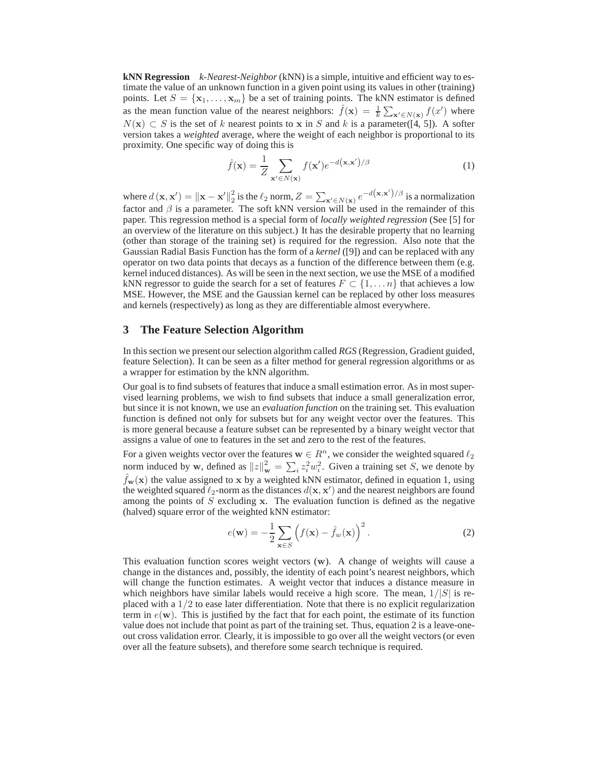**kNN Regression** *k-Nearest-Neighbor* (kNN) is a simple, intuitive and efficient way to estimate the value of an unknown function in a given point using its values in other (training) points. Let  $S = {\mathbf{x}_1, \dots, \mathbf{x}_m}$  be a set of training points. The kNN estimator is defined as the mean function value of the nearest neighbors:  $\hat{f}(\mathbf{x}) = \frac{1}{k} \sum_{\mathbf{x}' \in N(\mathbf{x})} f(x')$  where  $N(\mathbf{x}) \subset S$  is the set of k nearest points to x in S and k is a parameter([4, 5]). A softer version takes a *weighted* average, where the weight of each neighbor is proportional to its proximity. One specific way of doing this is

$$
\hat{f}(\mathbf{x}) = \frac{1}{Z} \sum_{\mathbf{x}' \in N(\mathbf{x})} f(\mathbf{x}') e^{-d(\mathbf{x}, \mathbf{x}')/\beta}
$$
(1)

where  $d(\mathbf{x}, \mathbf{x}') = ||\mathbf{x} - \mathbf{x}'||_2^2$  $\frac{2}{2}$  is the  $\ell_2$  norm,  $Z = \sum_{\mathbf{x}' \in N(\mathbf{x})} e^{-d(\mathbf{x}, \mathbf{x}')/\beta}$  is a normalization factor and  $\beta$  is a parameter. The soft kNN version will be used in the remainder of this paper. This regression method is a special form of *locally weighted regression* (See [5] for an overview of the literature on this subject.) It has the desirable property that no learning (other than storage of the training set) is required for the regression. Also note that the Gaussian Radial Basis Function has the form of a *kernel* ([9]) and can be replaced with any operator on two data points that decays as a function of the difference between them (e.g. kernel induced distances). As will be seen in the next section, we use the MSE of a modified kNN regressor to guide the search for a set of features  $F \subset \{1, \ldots n\}$  that achieves a low MSE. However, the MSE and the Gaussian kernel can be replaced by other loss measures and kernels (respectively) as long as they are differentiable almost everywhere.

### **3 The Feature Selection Algorithm**

In this section we present our selection algorithm called *RGS* (Regression, Gradient guided, feature Selection). It can be seen as a filter method for general regression algorithms or as a wrapper for estimation by the kNN algorithm.

Our goal is to find subsets of features that induce a small estimation error. As in most supervised learning problems, we wish to find subsets that induce a small generalization error, but since it is not known, we use an *evaluation function* on the training set. This evaluation function is defined not only for subsets but for any weight vector over the features. This is more general because a feature subset can be represented by a binary weight vector that assigns a value of one to features in the set and zero to the rest of the features.

For a given weights vector over the features  $\mathbf{w} \in \mathbb{R}^n$ , we consider the weighted squared  $\ell_2$ norm induced by w, defined as  $||z||_{\mathbf{w}}^2 = \sum_i z_i^2 w_i^2$ . Given a training set S, we denote by  $\hat{f}_{w}(x)$  the value assigned to x by a weighted kNN estimator, defined in equation 1, using the weighted squared  $\ell_2$ -norm as the distances  $d(\mathbf{x}, \mathbf{x}')$  and the nearest neighbors are found among the points of  $S$  excluding x. The evaluation function is defined as the negative (halved) square error of the weighted kNN estimator:

$$
e(\mathbf{w}) = -\frac{1}{2} \sum_{\mathbf{x} \in S} \left( f(\mathbf{x}) - \hat{f}_w(\mathbf{x}) \right)^2.
$$
 (2)

This evaluation function scores weight vectors  $(w)$ . A change of weights will cause a change in the distances and, possibly, the identity of each point's nearest neighbors, which will change the function estimates. A weight vector that induces a distance measure in which neighbors have similar labels would receive a high score. The mean,  $1/|S|$  is replaced with a  $1/2$  to ease later differentiation. Note that there is no explicit regularization term in  $e(w)$ . This is justified by the fact that for each point, the estimate of its function value does not include that point as part of the training set. Thus, equation 2 is a leave-oneout cross validation error. Clearly, it is impossible to go over all the weight vectors (or even over all the feature subsets), and therefore some search technique is required.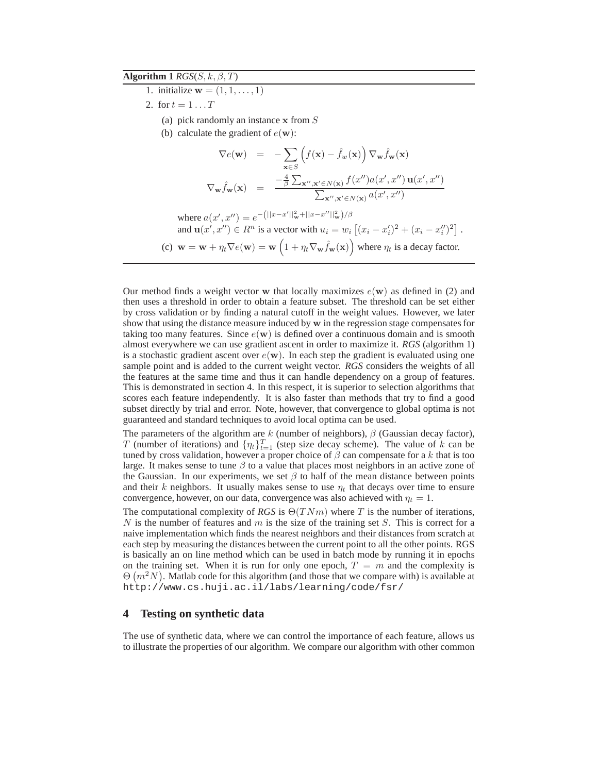## **Algorithm 1**  $RGS(S, k, \beta, T)$

1. initialize  $\mathbf{w} = (1, 1, \dots, 1)$ 

- 2. for  $t = 1...T$ 
	- (a) pick randomly an instance x from S
	- (b) calculate the gradient of  $e(\mathbf{w})$ :

$$
\nabla e(\mathbf{w}) = -\sum_{\mathbf{x} \in S} \left( f(\mathbf{x}) - \hat{f}_w(\mathbf{x}) \right) \nabla_{\mathbf{w}} \hat{f}_{\mathbf{w}}(\mathbf{x})
$$

$$
\nabla_{\mathbf{w}} \hat{f}_{\mathbf{w}}(\mathbf{x}) = \frac{-\frac{4}{\beta} \sum_{\mathbf{x''}, \mathbf{x'} \in N(\mathbf{x})} f(x'') a(x', x'') \mathbf{u}(x', x'')}{\sum_{\mathbf{x''}, \mathbf{x'} \in N(\mathbf{x})} a(x', x'')}
$$

where  $a(x', x'') = e^{-\left(||x - x'||_{\mathbf{w}}^2 + ||x - x''||_{\mathbf{w}}^2\right)/\beta}$ and  $\mathbf{u}(x', x'') \in R^n$  is a vector with  $u_i = w_i [(x_i - x'_i)^2 + (x_i - x''_i)^2]$ . (c)  $\mathbf{w} = \mathbf{w} + \eta_t \nabla e(\mathbf{w}) = \mathbf{w} \left( 1 + \eta_t \nabla_{\mathbf{w}} \hat{f}_{\mathbf{w}}(\mathbf{x}) \right)$  where  $\eta_t$  is a decay factor.

Our method finds a weight vector w that locally maximizes  $e(w)$  as defined in (2) and then uses a threshold in order to obtain a feature subset. The threshold can be set either by cross validation or by finding a natural cutoff in the weight values. However, we later show that using the distance measure induced by w in the regression stage compensates for taking too many features. Since  $e(w)$  is defined over a continuous domain and is smooth almost everywhere we can use gradient ascent in order to maximize it. *RGS* (algorithm 1) is a stochastic gradient ascent over  $e(w)$ . In each step the gradient is evaluated using one sample point and is added to the current weight vector. *RGS* considers the weights of all the features at the same time and thus it can handle dependency on a group of features. This is demonstrated in section 4. In this respect, it is superior to selection algorithms that scores each feature independently. It is also faster than methods that try to find a good subset directly by trial and error. Note, however, that convergence to global optima is not guaranteed and standard techniques to avoid local optima can be used.

The parameters of the algorithm are  $k$  (number of neighbors),  $\beta$  (Gaussian decay factor), T (number of iterations) and  $\{\eta_t\}_{t=1}^T$  (step size decay scheme). The value of k can be tuned by cross validation, however a proper choice of  $\beta$  can compensate for a k that is too large. It makes sense to tune  $\beta$  to a value that places most neighbors in an active zone of the Gaussian. In our experiments, we set  $\beta$  to half of the mean distance between points and their k neighbors. It usually makes sense to use  $\eta_t$  that decays over time to ensure convergence, however, on our data, convergence was also achieved with  $\eta_t = 1$ .

The computational complexity of *RGS* is  $\Theta(T N m)$  where T is the number of iterations, N is the number of features and m is the size of the training set S. This is correct for a naive implementation which finds the nearest neighbors and their distances from scratch at each step by measuring the distances between the current point to all the other points. RGS is basically an on line method which can be used in batch mode by running it in epochs on the training set. When it is run for only one epoch,  $T = m$  and the complexity is  $\Theta(m^2N)$ . Matlab code for this algorithm (and those that we compare with) is available at http://www.cs.huji.ac.il/labs/learning/code/fsr/

# **4 Testing on synthetic data**

The use of synthetic data, where we can control the importance of each feature, allows us to illustrate the properties of our algorithm. We compare our algorithm with other common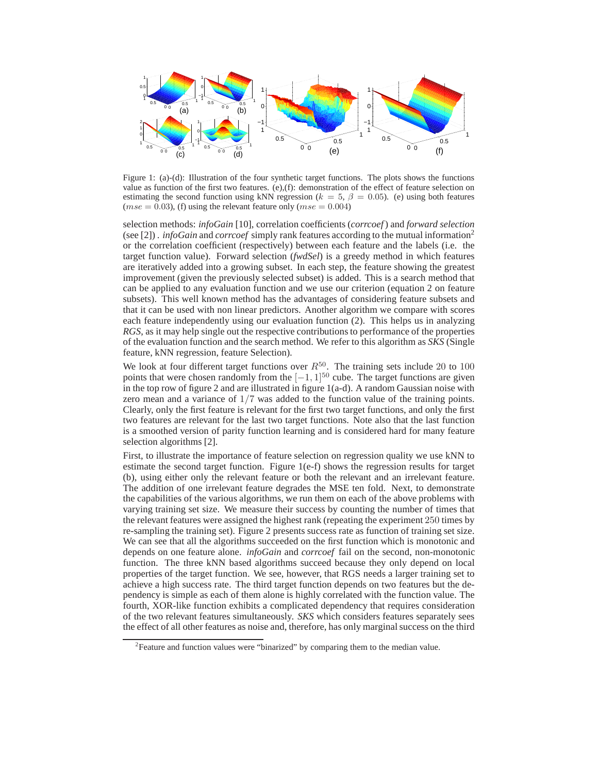

Figure 1: (a)-(d): Illustration of the four synthetic target functions. The plots shows the functions value as function of the first two features.  $(e)$ , $(f)$ : demonstration of the effect of feature selection on estimating the second function using kNN regression ( $k = 5$ ,  $\beta = 0.05$ ). (e) using both features ( $mse = 0.03$ ), (f) using the relevant feature only ( $mse = 0.004$ )

selection methods: *infoGain* [10], correlation coefficients (*corrcoef*) and *forward selection* (see [2]) . *infoGain* and *corrcoef* simply rank features according to the mutual information<sup>2</sup> or the correlation coefficient (respectively) between each feature and the labels (i.e. the target function value). Forward selection (*fwdSel*) is a greedy method in which features are iteratively added into a growing subset. In each step, the feature showing the greatest improvement (given the previously selected subset) is added. This is a search method that can be applied to any evaluation function and we use our criterion (equation 2 on feature subsets). This well known method has the advantages of considering feature subsets and that it can be used with non linear predictors. Another algorithm we compare with scores each feature independently using our evaluation function (2). This helps us in analyzing *RGS*, as it may help single out the respective contributions to performance of the properties of the evaluation function and the search method. We refer to this algorithm as *SKS* (Single feature, kNN regression, feature Selection)*.*

We look at four different target functions over  $R^{50}$ . The training sets include 20 to 100 points that were chosen randomly from the  $[-1, 1]^{50}$  cube. The target functions are given in the top row of figure 2 and are illustrated in figure 1(a-d). A random Gaussian noise with zero mean and a variance of 1/7 was added to the function value of the training points. Clearly, only the first feature is relevant for the first two target functions, and only the first two features are relevant for the last two target functions. Note also that the last function is a smoothed version of parity function learning and is considered hard for many feature selection algorithms [2].

First, to illustrate the importance of feature selection on regression quality we use kNN to estimate the second target function. Figure 1(e-f) shows the regression results for target (b), using either only the relevant feature or both the relevant and an irrelevant feature. The addition of one irrelevant feature degrades the MSE ten fold. Next, to demonstrate the capabilities of the various algorithms, we run them on each of the above problems with varying training set size. We measure their success by counting the number of times that the relevant features were assigned the highest rank (repeating the experiment 250 times by re-sampling the training set). Figure 2 presents success rate as function of training set size. We can see that all the algorithms succeeded on the first function which is monotonic and depends on one feature alone. *infoGain* and *corrcoef* fail on the second, non-monotonic function. The three kNN based algorithms succeed because they only depend on local properties of the target function. We see, however, that RGS needs a larger training set to achieve a high success rate. The third target function depends on two features but the dependency is simple as each of them alone is highly correlated with the function value. The fourth, XOR-like function exhibits a complicated dependency that requires consideration of the two relevant features simultaneously. *SKS* which considers features separately sees the effect of all other features as noise and, therefore, has only marginal success on the third

<sup>&</sup>lt;sup>2</sup> Feature and function values were "binarized" by comparing them to the median value.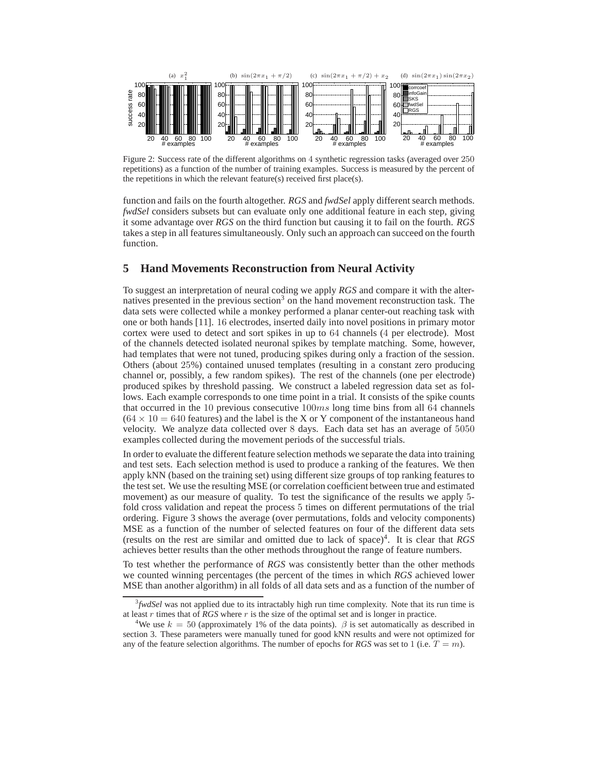

Figure 2: Success rate of the different algorithms on 4 synthetic regression tasks (averaged over 250 repetitions) as a function of the number of training examples. Success is measured by the percent of the repetitions in which the relevant feature(s) received first place(s).

function and fails on the fourth altogether. *RGS* and *fwdSel* apply different search methods. *fwdSel* considers subsets but can evaluate only one additional feature in each step, giving it some advantage over *RGS* on the third function but causing it to fail on the fourth. *RGS* takes a step in all features simultaneously. Only such an approach can succeed on the fourth function.

## **5 Hand Movements Reconstruction from Neural Activity**

To suggest an interpretation of neural coding we apply *RGS* and compare it with the alternatives presented in the previous section<sup>3</sup> on the hand movement reconstruction task. The data sets were collected while a monkey performed a planar center-out reaching task with one or both hands [11]. 16 electrodes, inserted daily into novel positions in primary motor cortex were used to detect and sort spikes in up to 64 channels (4 per electrode). Most of the channels detected isolated neuronal spikes by template matching. Some, however, had templates that were not tuned, producing spikes during only a fraction of the session. Others (about 25%) contained unused templates (resulting in a constant zero producing channel or, possibly, a few random spikes). The rest of the channels (one per electrode) produced spikes by threshold passing. We construct a labeled regression data set as follows. Each example corresponds to one time point in a trial. It consists of the spike counts that occurred in the 10 previous consecutive  $100ms$  long time bins from all 64 channels  $(64 \times 10 = 640$  features) and the label is the X or Y component of the instantaneous hand velocity. We analyze data collected over 8 days. Each data set has an average of 5050 examples collected during the movement periods of the successful trials.

In order to evaluate the different feature selection methods we separate the data into training and test sets. Each selection method is used to produce a ranking of the features. We then apply kNN (based on the training set) using different size groups of top ranking features to the test set. We use the resulting MSE (or correlation coefficient between true and estimated movement) as our measure of quality. To test the significance of the results we apply 5 fold cross validation and repeat the process 5 times on different permutations of the trial ordering. Figure 3 shows the average (over permutations, folds and velocity components) MSE as a function of the number of selected features on four of the different data sets (results on the rest are similar and omitted due to lack of space)<sup>4</sup> . It is clear that *RGS* achieves better results than the other methods throughout the range of feature numbers.

To test whether the performance of *RGS* was consistently better than the other methods we counted winning percentages (the percent of the times in which *RGS* achieved lower MSE than another algorithm) in all folds of all data sets and as a function of the number of

<sup>&</sup>lt;sup>3</sup>*fwdSel* was not applied due to its intractably high run time complexity. Note that its run time is at least  $r$  times that of  $RGS$  where  $r$  is the size of the optimal set and is longer in practice.

<sup>&</sup>lt;sup>4</sup>We use  $k = 50$  (approximately 1% of the data points).  $\beta$  is set automatically as described in section 3. These parameters were manually tuned for good kNN results and were not optimized for any of the feature selection algorithms. The number of epochs for *RGS* was set to 1 (i.e.  $T = m$ ).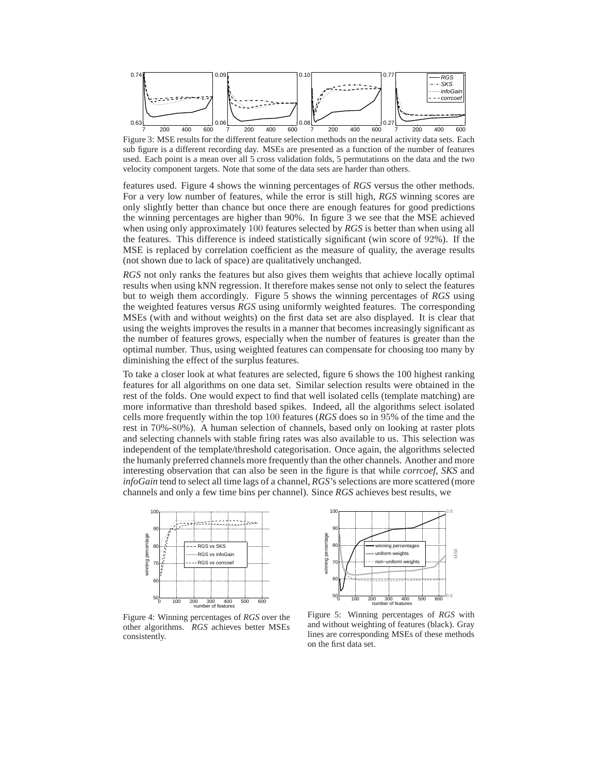

Figure 3: MSE results for the different feature selection methods on the neural activity data sets. Each sub figure is a different recording day. MSEs are presented as a function of the number of features used. Each point is a mean over all 5 cross validation folds, 5 permutations on the data and the two velocity component targets. Note that some of the data sets are harder than others.

features used. Figure 4 shows the winning percentages of *RGS* versus the other methods. For a very low number of features, while the error is still high, *RGS* winning scores are only slightly better than chance but once there are enough features for good predictions the winning percentages are higher than 90%. In figure 3 we see that the MSE achieved when using only approximately 100 features selected by *RGS* is better than when using all the features. This difference is indeed statistically significant (win score of 92%). If the MSE is replaced by correlation coefficient as the measure of quality, the average results (not shown due to lack of space) are qualitatively unchanged.

*RGS* not only ranks the features but also gives them weights that achieve locally optimal results when using kNN regression. It therefore makes sense not only to select the features but to weigh them accordingly. Figure 5 shows the winning percentages of *RGS* using the weighted features versus *RGS* using uniformly weighted features. The corresponding MSEs (with and without weights) on the first data set are also displayed. It is clear that using the weights improves the results in a manner that becomes increasingly significant as the number of features grows, especially when the number of features is greater than the optimal number. Thus, using weighted features can compensate for choosing too many by diminishing the effect of the surplus features.

To take a closer look at what features are selected, figure 6 shows the 100 highest ranking features for all algorithms on one data set. Similar selection results were obtained in the rest of the folds. One would expect to find that well isolated cells (template matching) are more informative than threshold based spikes. Indeed, all the algorithms select isolated cells more frequently within the top 100 features (*RGS* does so in 95% of the time and the rest in 70%-80%). A human selection of channels, based only on looking at raster plots and selecting channels with stable firing rates was also available to us. This selection was independent of the template/threshold categorisation. Once again, the algorithms selected the humanly preferred channels more frequently than the other channels. Another and more interesting observation that can also be seen in the figure is that while *corrcoef, SKS* and *infoGain* tend to select all time lags of a channel, *RGS*'s selections are more scattered (more channels and only a few time bins per channel). Since *RGS* achieves best results, we



Figure 4: Winning percentages of *RGS* over the other algorithms. *RGS* achieves better MSEs consistently.



Figure 5: Winning percentages of *RGS* with and without weighting of features (black). Gray lines are corresponding MSEs of these methods on the first data set.